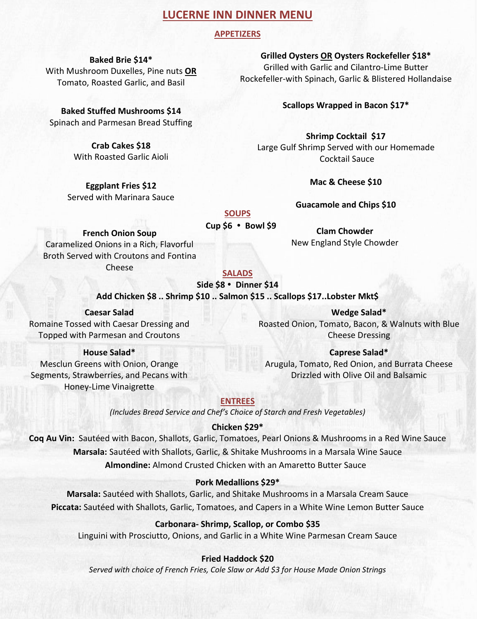# **LUCERNE INN DINNER MENU**

# **APPETIZERS**

**Baked Brie \$14\*** With Mushroom Duxelles, Pine nuts **OR** Tomato, Roasted Garlic, and Basil

**Baked Stuffed Mushrooms \$14** Spinach and Parmesan Bread Stuffing

> **Crab Cakes \$18** With Roasted Garlic Aioli

**Eggplant Fries \$12** Served with Marinara Sauce

**Grilled Oysters OR Oysters Rockefeller \$18\*** Grilled with Garlic and Cilantro-Lime Butter Rockefeller-with Spinach, Garlic & Blistered Hollandaise

**Scallops Wrapped in Bacon \$17\***

**Shrimp Cocktail \$17** Large Gulf Shrimp Served with our Homemade Cocktail Sauce

**Mac & Cheese \$10**

**Guacamole and Chips \$10** 

**Clam Chowder**  New England Style Chowder

#### **SOUPS**

 **Cup \$6 Bowl \$9**

**French Onion Soup**

Caramelized Onions in a Rich, Flavorful Broth Served with Croutons and Fontina Cheese

### **SALADS**

# **Side \$8 Dinner \$14**

**Add Chicken \$8 .. Shrimp \$10 .. Salmon \$15 .. Scallops \$17..Lobster Mkt\$**

**Caesar Salad** Romaine Tossed with Caesar Dressing and Topped with Parmesan and Croutons

**House Salad\***

Mesclun Greens with Onion, Orange Segments, Strawberries, and Pecans with Honey-Lime Vinaigrette

**Wedge Salad\*** Roasted Onion, Tomato, Bacon, & Walnuts with Blue Cheese Dressing

**Caprese Salad\*** Arugula, Tomato, Red Onion, and Burrata Cheese Drizzled with Olive Oil and Balsamic

**ENTREES**

*(Includes Bread Service and Chef's Choice of Starch and Fresh Vegetables)* 

### **Chicken \$29\***

**Coq Au Vin:** Sautéed with Bacon, Shallots, Garlic, Tomatoes, Pearl Onions & Mushrooms in a Red Wine Sauce **Marsala:** Sautéed with Shallots, Garlic, & Shitake Mushrooms in a Marsala Wine Sauce **Almondine:** Almond Crusted Chicken with an Amaretto Butter Sauce

### **Pork Medallions \$29\***

**Marsala:** Sautéed with Shallots, Garlic, and Shitake Mushrooms in a Marsala Cream Sauce **Piccata:** Sautéed with Shallots, Garlic, Tomatoes, and Capers in a White Wine Lemon Butter Sauce

## **Carbonara- Shrimp, Scallop, or Combo \$35**

Linguini with Prosciutto, Onions, and Garlic in a White Wine Parmesan Cream Sauce

### **Fried Haddock \$20**

*Served with choice of French Fries, Cole Slaw or Add \$3 for House Made Onion Strings*